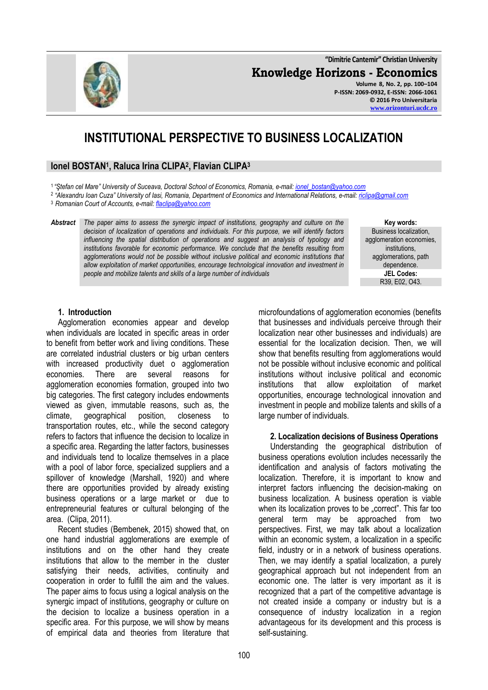**"Dimitrie Cantemir" Christian University**

**Knowledge Horizons - Economics**

**Volume 8, No. 2, pp. 100–104 P-ISSN: 2069-0932, E-ISSN: 2066-1061 © 2016 Pro Universitaria [www.orizonturi.ucdc.ro](http://www.orizonturi.ucdc.ro/)**

# **INSTITUTIONAL PERSPECTIVE TO BUSINESS LOCALIZATION**

# **Ionel BOSTAN<sup>1</sup> , Raluca Irina CLIPA<sup>2</sup> , Flavian CLIPA<sup>3</sup>**

1 *"Ştefan cel Mare" University of Suceava, Doctoral School of Economics, Romania, e-mail: [ionel\\_bostan@yahoo.com](mailto:ionel_bostan@yahoo.com)*

2 *"Alexandru Ioan Cuza" University of Iasi, Romania, Department of Economics and International Relations, e-mail: [riclipa@gmail.com](mailto:riclipa@gmail.com)*

<sup>3</sup>*Romanian Court of Accounts, e-mail: [flaclipa@yahoo.com](mailto:flaclipa@yahoo.com)*

*Abstract The paper aims to assess the synergic impact of institutions, geography and culture on the decision of localization of operations and individuals. For this purpose, we will identify factors influencing the spatial distribution of operations and suggest an analysis of typology and institutions favorable for economic performance. We conclude that the benefits resulting from agglomerations would not be possible without inclusive political and economic institutions that allow exploitation of market opportunities, encourage technological innovation and investment in people and mobilize talents and skills of a large number of individuals*

**Key words:** Business localization, agglomeration economies. institutions, agglomerations, path dependence. **JEL Codes:** R39, E02, O43.

#### **1. Introduction**

Agglomeration economies appear and develop when individuals are located in specific areas in order to benefit from better work and living conditions. These are correlated industrial clusters or big urban centers with increased productivity duet o agglomeration economies. There are several reasons for agglomeration economies formation, grouped into two big categories. The first category includes endowments viewed as given, immutable reasons, such as, the climate, geographical position, closeness to transportation routes, etc., while the second category refers to factors that influence the decision to localize in a specific area. Regarding the latter factors, businesses and individuals tend to localize themselves in a place with a pool of labor force, specialized suppliers and a spillover of knowledge (Marshall, 1920) and where there are opportunities provided by already existing business operations or a large market or due to entrepreneurial features or cultural belonging of the area. (Clipa, 2011).

Recent studies (Bembenek, 2015) showed that, on one hand industrial agglomerations are exemple of institutions and on the other hand they create institutions that allow to the member in the cluster satisfying their needs, activities, continuity and cooperation in order to fulfill the aim and the values. The paper aims to focus using a logical analysis on the synergic impact of institutions, geography or culture on the decision to localize a business operation in a specific area. For this purpose, we will show by means of empirical data and theories from literature that microfoundations of agglomeration economies (benefits that businesses and individuals perceive through their localization near other businesses and individuals) are essential for the localization decision. Then, we will show that benefits resulting from agglomerations would not be possible without inclusive economic and political institutions without inclusive political and economic institutions that allow exploitation of market opportunities, encourage technological innovation and investment in people and mobilize talents and skills of a large number of individuals.

#### **2. Localization decisions of Business Operations**

Understanding the geographical distribution of business operations evolution includes necessarily the identification and analysis of factors motivating the localization. Therefore, it is important to know and interpret factors influencing the decision-making on business localization. A business operation is viable when its localization proves to be "correct". This far too general term may be approached from two perspectives. First, we may talk about a localization within an economic system, a localization in a specific field, industry or in a network of business operations. Then, we may identify a spatial localization, a purely geographical approach but not independent from an economic one. The latter is very important as it is recognized that a part of the competitive advantage is not created inside a company or industry but is a consequence of industry localization in a region advantageous for its development and this process is self-sustaining.

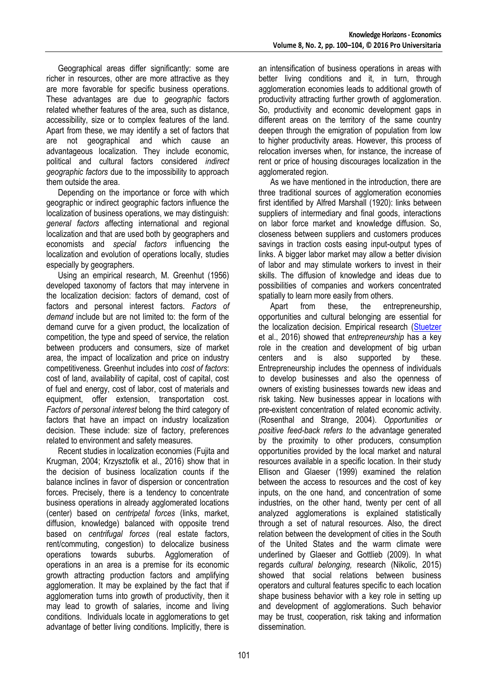Geographical areas differ significantly: some are richer in resources, other are more attractive as they are more favorable for specific business operations. These advantages are due to *geographic* factors related whether features of the area, such as distance, accessibility, size or to complex features of the land. Apart from these, we may identify a set of factors that are not geographical and which cause an advantageous localization. They include economic, political and cultural factors considered *indirect geographic factors* due to the impossibility to approach them outside the area.

Depending on the importance or force with which geographic or indirect geographic factors influence the localization of business operations, we may distinguish: *general factors* affecting international and regional localization and that are used both by geographers and economists and *special factors* influencing the localization and evolution of operations locally, studies especially by geographers.

Using an empirical research, M. Greenhut (1956) developed taxonomy of factors that may intervene in the localization decision: factors of demand, cost of factors and personal interest factors. *Factors of demand* include but are not limited to: the form of the demand curve for a given product, the localization of competition, the type and speed of service, the relation between producers and consumers, size of market area, the impact of localization and price on industry competitiveness. Greenhut includes into *cost of factors*: cost of land, availability of capital, cost of capital, cost of fuel and energy, cost of labor, cost of materials and equipment, offer extension, transportation cost. *Factors of personal interest* belong the third category of factors that have an impact on industry localization decision. These include: size of factory, preferences related to environment and safety measures.

Recent studies in localization economies (Fujita and Krugman, 2004; Krzysztofik et al., 2016) show that in the decision of business localization counts if the balance inclines in favor of dispersion or concentration forces. Precisely, there is a tendency to concentrate business operations in already agglomerated locations (center) based on *centripetal forces* (links, market, diffusion, knowledge) balanced with opposite trend based on *centrifugal forces* (real estate factors, rent/commuting, congestion) to delocalize business operations towards suburbs. Agglomeration of operations in an area is a premise for its economic growth attracting production factors and amplifying agglomeration. It may be explained by the fact that if agglomeration turns into growth of productivity, then it may lead to growth of salaries, income and living conditions. Individuals locate in agglomerations to get advantage of better living conditions. Implicitly, there is

an intensification of business operations in areas with better living conditions and it, in turn, through agglomeration economies leads to additional growth of productivity attracting further growth of agglomeration. So, productivity and economic development gaps in different areas on the territory of the same country deepen through the emigration of population from low to higher productivity areas. However, this process of relocation inverses when, for instance, the increase of rent or price of housing discourages localization in the agglomerated region.

As we have mentioned in the introduction, there are three traditional sources of agglomeration economies first identified by Alfred Marshall (1920): links between suppliers of intermediary and final goods, interactions on labor force market and knowledge diffusion. So, closeness between suppliers and customers produces savings in traction costs easing input-output types of links. A bigger labor market may allow a better division of labor and may stimulate workers to invest in their skills. The diffusion of knowledge and ideas due to possibilities of companies and workers concentrated spatially to learn more easily from others.

Apart from these, the entrepreneurship, opportunities and cultural belonging are essential for the localization decision. Empirical research [\(Stuetzer](http://www.sciencedirect.com/science/article/pii/S0014292115001294) et al., 2016) showed that *entrepreneurship* has a key role in the creation and development of big urban centers and is also supported by these. Entrepreneurship includes the openness of individuals to develop businesses and also the openness of owners of existing businesses towards new ideas and risk taking. New businesses appear in locations with pre-existent concentration of related economic activity. (Rosenthal and Strange, 2004). *Opportunities or positive feed-back refers to* the advantage generated by the proximity to other producers, consumption opportunities provided by the local market and natural resources available in a specific location. In their study Ellison and Glaeser (1999) examined the relation between the access to resources and the cost of key inputs, on the one hand, and concentration of some industries, on the other hand, twenty per cent of all analyzed agglomerations is explained statistically through a set of natural resources. Also, the direct relation between the development of cities in the South of the United States and the warm climate were underlined by Glaeser and Gottlieb (2009). In what regards *cultural belonging,* research (Nikolic, 2015) showed that social relations between business operators and cultural features specific to each location shape business behavior with a key role in setting up and development of agglomerations. Such behavior may be trust, cooperation, risk taking and information dissemination.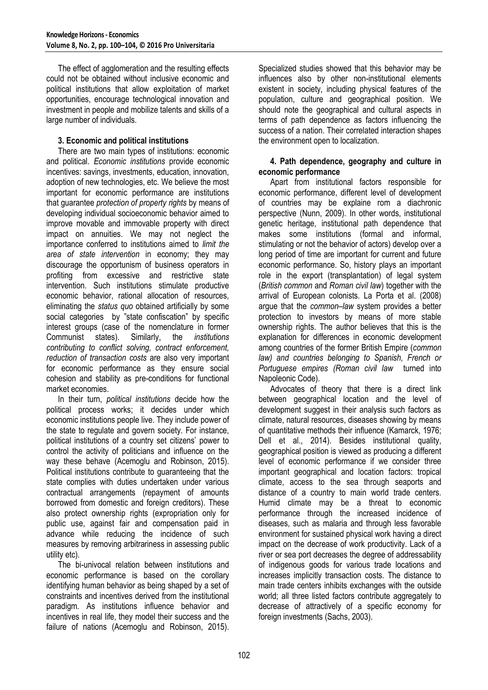The effect of agglomeration and the resulting effects could not be obtained without inclusive economic and political institutions that allow exploitation of market opportunities, encourage technological innovation and investment in people and mobilize talents and skills of a large number of individuals.

# **3. Economic and political institutions**

There are two main types of institutions: economic and political. *Economic institutions* provide economic incentives: savings, investments, education, innovation, adoption of new technologies, etc. We believe the most important for economic performance are institutions that guarantee *protection of property rights* by means of developing individual socioeconomic behavior aimed to improve movable and immovable property with direct impact on annuities. We may not neglect the importance conferred to institutions aimed to *limit the area of state intervention* in economy; they may discourage the opportunism of business operators in profiting from excessive and restrictive state intervention. Such institutions stimulate productive economic behavior, rational allocation of resources, eliminating the *status quo* obtained artificially by some social categories by "state confiscation" by specific interest groups (case of the nomenclature in former Communist states). Similarly, the *institutions contributing to conflict solving, contract enforcement, reduction of transaction costs* are also very important for economic performance as they ensure social cohesion and stability as pre-conditions for functional market economies.

In their turn, *political institutions* decide how the political process works; it decides under which economic institutions people live. They include power of the state to regulate and govern society. For instance, political institutions of a country set citizens' power to control the activity of politicians and influence on the way these behave (Acemoglu and Robinson, 2015). Political institutions contribute to guaranteeing that the state complies with duties undertaken under various contractual arrangements (repayment of amounts borrowed from domestic and foreign creditors). These also protect ownership rights (expropriation only for public use, against fair and compensation paid in advance while reducing the incidence of such measures by removing arbitrariness in assessing public utility etc).

The bi-univocal relation between institutions and economic performance is based on the corollary identifying human behavior as being shaped by a set of constraints and incentives derived from the institutional paradigm. As institutions influence behavior and incentives in real life, they model their success and the failure of nations (Acemoglu and Robinson, 2015).

Specialized studies showed that this behavior may be influences also by other non-institutional elements existent in society, including physical features of the population, culture and geographical position. We should note the geographical and cultural aspects in terms of path dependence as factors influencing the success of a nation. Their correlated interaction shapes the environment open to localization.

#### **4. Path dependence, geography and culture in economic performance**

Apart from institutional factors responsible for economic performance, different level of development of countries may be explaine rom a diachronic perspective (Nunn, 2009). In other words, institutional genetic heritage, institutional path dependence that makes some institutions (formal and informal, stimulating or not the behavior of actors) develop over a long period of time are important for current and future economic performance. So, history plays an important role in the export (transplantation) of legal system (*British common* and *Roman civil law*) together with the arrival of European colonists. La Porta et al. (2008) argue that the *common–law* system provides a better protection to investors by means of more stable ownership rights. The author believes that this is the explanation for differences in economic development among countries of the former British Empire (*common law) and countries belonging to Spanish, French or Portuguese empires (Roman civil law* turned into Napoleonic Code).

Advocates of theory that there is a direct link between geographical location and the level of development suggest in their analysis such factors as climate, natural resources, diseases showing by means of quantitative methods their influence (Kamarck, 1976; Dell et al., 2014). Besides institutional quality, geographical position is viewed as producing a different level of economic performance if we consider three important geographical and location factors: tropical climate, access to the sea through seaports and distance of a country to main world trade centers. Humid climate may be a threat to economic performance through the increased incidence of diseases, such as malaria and through less favorable environment for sustained physical work having a direct impact on the decrease of work productivity. Lack of a river or sea port decreases the degree of addressability of indigenous goods for various trade locations and increases implicitly transaction costs. The distance to main trade centers inhibits exchanges with the outside world; all three listed factors contribute aggregately to decrease of attractively of a specific economy for foreign investments (Sachs, 2003).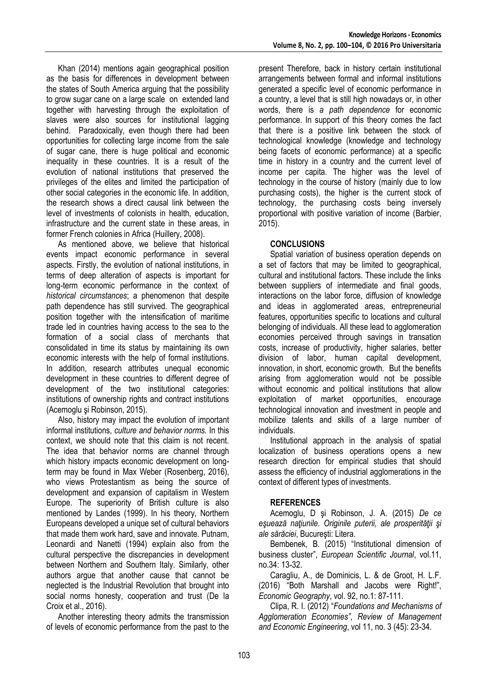Khan (2014) mentions again geographical position as the basis for differences in development between the states of South America arguing that the possibility to grow sugar cane on a large scale on extended land together with harvesting through the exploitation of slaves were also sources for institutional lagging behind. Paradoxically, even though there had been opportunities for collecting large income from the sale of sugar cane, there is huge political and economic inequality in these countries. It is a result of the evolution of national institutions that preserved the privileges of the elites and limited the participation of other social categories in the economic life. In addition, the research shows a direct causal link between the level of investments of colonists in health, education, infrastructure and the current state in these areas, in former French colonies in Africa (Huillery, 2008).

As mentioned above, we believe that historical events impact economic performance in several aspects. Firstly, the evolution of national institutions, in terms of deep alteration of aspects is important for long-term economic performance in the context of *historical circumstances*; a phenomenon that despite path dependence has still survived. The geographical position together with the intensification of maritime trade led in countries having access to the sea to the formation of a social class of merchants that consolidated in time its status by maintaining its own economic interests with the help of formal institutions. In addition, research attributes unequal economic development in these countries to different degree of development of the two institutional categories: institutions of ownership rights and contract institutions (Acemoglu şi Robinson, 2015).

Also, history may impact the evolution of important informal institutions, *culture and behavior norms.* In this context, we should note that this claim is not recent. The idea that behavior norms are channel through which history impacts economic development on longterm may be found in Max Weber (Rosenberg, 2016), who views Protestantism as being the source of development and expansion of capitalism in Western Europe. The superiority of British culture is also mentioned by Landes (1999). In his theory, Northern Europeans developed a unique set of cultural behaviors that made them work hard, save and innovate. Putnam, Leonardi and Nanetti (1994) explain also from the cultural perspective the discrepancies in development between Northern and Southern Italy. Similarly, other authors argue that another cause that cannot be neglected is the Industrial Revolution that brought into social norms honesty, cooperation and trust (De la Croix et al., 2016).

Another interesting theory admits the transmission of levels of economic performance from the past to the

present Therefore, back in history certain institutional arrangements between formal and informal institutions generated a specific level of economic performance in a country, a level that is still high nowadays or, in other words, there is *a path dependence* for economic performance. In support of this theory comes the fact that there is a positive link between the stock of technological knowledge (knowledge and technology being facets of economic performance) at a specific time in history in a country and the current level of income per capita. The higher was the level of technology in the course of history (mainly due to low purchasing costs), the higher is the current stock of technology, the purchasing costs being inversely proportional with positive variation of income (Barbier, 2015).

# **CONCLUSIONS**

Spatial variation of business operation depends on a set of factors that may be limited to geographical, cultural and institutional factors. These include the links between suppliers of intermediate and final goods, interactions on the labor force, diffusion of knowledge and ideas in agglomerated areas, entrepreneurial features, opportunities specific to locations and cultural belonging of individuals. All these lead to agglomeration economies perceived through savings in transation costs, increase of productivity, higher salaries, better division of labor, human capital development, innovation, in short, economic growth. But the benefits arising from agglomeration would not be possible without economic and political institutions that allow exploitation of market opportunities, encourage technological innovation and investment in people and mobilize talents and skills of a large number of individuals.

Institutional approach in the analysis of spatial localization of business operations opens a new research direction for empirical studies that should assess the efficiency of industrial agglomerations in the context of different types of investments.

### **REFERENCES**

Acemoglu, D şi Robinson, J. A. (2015) *De ce eşuează naţiunile. Originile puterii, ale prosperităţii şi ale sărăciei*, Bucureşti: Litera.

Bembenek, B. (2015) "Institutional dimension of business cluster", *European Scientific Journal*, vol.11, no.34: 13-32.

Caragliu, A., de Dominicis, L. & de Groot, H. L.F. (2016) "Both Marshall and Jacobs were Right!", *Economic Geography*, vol. 92, no.1: 87-111.

Clipa, R. I. (2012) "*Foundations and Mechanisms of Agglomeration Economies"*, *Review of Management and Economic Engineering*, vol 11, no. 3 (45): 23-34.